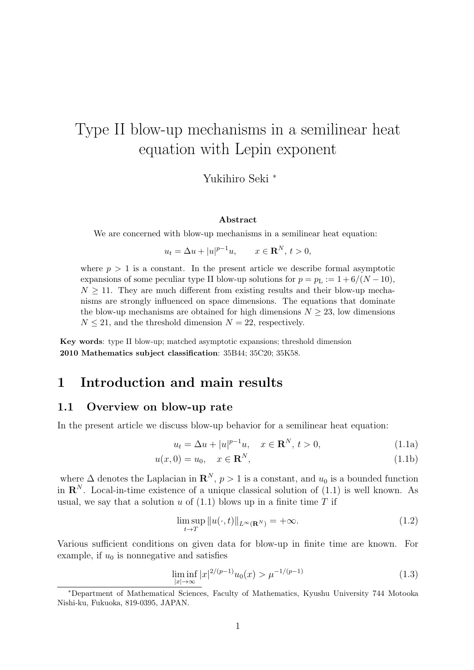# Type II blow-up mechanisms in a semilinear heat equation with Lepin exponent

Yukihiro Seki *<sup>∗</sup>*

#### **Abstract**

We are concerned with blow-up mechanisms in a semilinear heat equation:

$$
u_t = \Delta u + |u|^{p-1}u, \qquad x \in \mathbf{R}^N, t > 0,
$$

where  $p > 1$  is a constant. In the present article we describe formal asymptotic expansions of some peculiar type II blow-up solutions for  $p = p_L := 1 + 6/(N - 10)$ ,  $N \geq 11$ . They are much different from existing results and their blow-up mechanisms are strongly influenced on space dimensions. The equations that dominate the blow-up mechanisms are obtained for high dimensions  $N \geq 23$ , low dimensions  $N \leq 21$ , and the threshold dimension  $N = 22$ , respectively.

**Key words**: type II blow-up; matched asymptotic expansions; threshold dimension **2010 Mathematics subject classification**: 35B44; 35C20; 35K58.

# **1 Introduction and main results**

### **1.1 Overview on blow-up rate**

In the present article we discuss blow-up behavior for a semilinear heat equation:

$$
u_t = \Delta u + |u|^{p-1}u, \quad x \in \mathbf{R}^N, \, t > 0,\tag{1.1a}
$$

$$
u(x,0) = u_0, \quad x \in \mathbf{R}^N,\tag{1.1b}
$$

where  $\Delta$  denotes the Laplacian in  $\mathbb{R}^N$ ,  $p>1$  is a constant, and  $u_0$  is a bounded function in  $\mathbb{R}^N$ . Local-in-time existence of a unique classical solution of  $(1.1)$  is well known. As usual, we say that a solution  $u$  of  $(1.1)$  blows up in a finite time  $T$  if

$$
\limsup_{t \to T} \|u(\cdot, t)\|_{L^{\infty}(\mathbf{R}^N)} = +\infty.
$$
\n(1.2)

Various sufficient conditions on given data for blow-up in finite time are known. For example, if  $u_0$  is nonnegative and satisfies

$$
\liminf_{|x| \to \infty} |x|^{2/(p-1)} u_0(x) > \mu^{-1/(p-1)}
$$
\n(1.3)

*<sup>∗</sup>*Department of Mathematical Sciences, Faculty of Mathematics, Kyushu University 744 Motooka Nishi-ku, Fukuoka, 819-0395, JAPAN.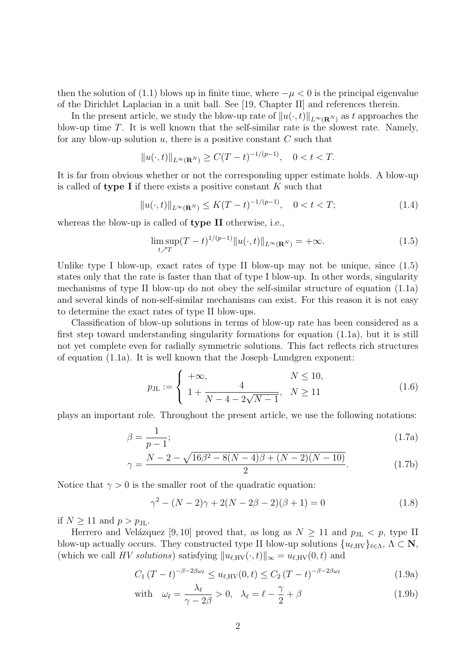then the solution of (1.1) blows up in finite time, where  $-\mu < 0$  is the principal eigenvalue of the Dirichlet Laplacian in a unit ball. See [19, Chapter II] and references therein.

In the present article, we study the blow-up rate of  $||u(\cdot, t)||_{L^{\infty}(\mathbf{R}^N)}$  as *t* approaches the blow-up time *T*. It is well known that the self-similar rate is the slowest rate. Namely, for any blow-up solution *u*, there is a positive constant *C* such that

$$
||u(\cdot,t)||_{L^{\infty}(\mathbf{R}^N)} \ge C(T-t)^{-1/(p-1)}, \quad 0 < t < T.
$$

It is far from obvious whether or not the corresponding upper estimate holds. A blow-up is called of **type I** if there exists a positive constant *K* such that

$$
||u(\cdot,t)||_{L^{\infty}(\mathbf{R}^N)} \le K(T-t)^{-1/(p-1)}, \quad 0 < t < T; \tag{1.4}
$$

whereas the blow-up is called of **type II** otherwise, i.e.,

$$
\limsup_{t \nearrow T} (T - t)^{1/(p-1)} \| u(\cdot, t) \|_{L^{\infty}(\mathbf{R}^N)} = +\infty.
$$
 (1.5)

Unlike type I blow-up, exact rates of type II blow-up may not be unique, since  $(1.5)$ states only that the rate is faster than that of type I blow-up. In other words, singularity mechanisms of type II blow-up do not obey the self-similar structure of equation (1.1a) and several kinds of non-self-similar mechanisms can exist. For this reason it is not easy to determine the exact rates of type II blow-ups.

Classification of blow-up solutions in terms of blow-up rate has been considered as a first step toward understanding singularity formations for equation (1.1a), but it is still not yet complete even for radially symmetric solutions. This fact reflects rich structures of equation (1.1a). It is well known that the Joseph–Lundgren exponent:

$$
p_{\text{JL}} := \begin{cases} +\infty, & N \le 10, \\ 1 + \frac{4}{N - 4 - 2\sqrt{N - 1}}, & N \ge 11 \end{cases}
$$
(1.6)

plays an important role. Throughout the present article, we use the following notations:

$$
\beta = \frac{1}{p-1};\tag{1.7a}
$$

$$
\gamma = \frac{N - 2 - \sqrt{16\beta^2 - 8(N - 4)\beta + (N - 2)(N - 10)}}{2}.
$$
\n(1.7b)

Notice that  $\gamma > 0$  is the smaller root of the quadratic equation:

$$
\gamma^2 - (N-2)\gamma + 2(N-2\beta - 2)(\beta + 1) = 0
$$
\n(1.8)

if  $N \geq 11$  and  $p > p_{\text{JL}}$ .

Herrero and Velázquez [9, 10] proved that, as long as  $N \ge 11$  and  $p_{\text{JL}} < p$ , type II blow-up actually occurs. They constructed type II blow-up solutions  $\{u_{\ell,HV}\}_{\ell \in \Lambda}$ ,  $\Lambda \subset \mathbb{N}$ , (which we call *HV solutions*) satisfying  $||u_{\ell,HV}(\cdot,t)||_{\infty} = u_{\ell,HV}(0,t)$  and

$$
C_1 (T - t)^{-\beta - 2\beta \omega_{\ell}} \le u_{\ell, \text{HV}}(0, t) \le C_2 (T - t)^{-\beta - 2\beta \omega_{\ell}}
$$
 (1.9a)

with 
$$
\omega_{\ell} = \frac{\lambda_{\ell}}{\gamma - 2\beta} > 0, \quad \lambda_{\ell} = \ell - \frac{\gamma}{2} + \beta
$$
 (1.9b)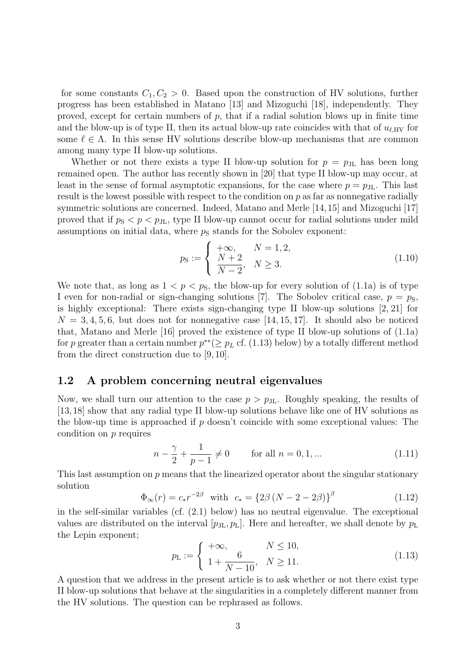for some constants  $C_1, C_2 > 0$ . Based upon the construction of HV solutions, further progress has been established in Matano [13] and Mizoguchi [18], independently. They proved, except for certain numbers of *p*, that if a radial solution blows up in finite time and the blow-up is of type II, then its actual blow-up rate coincides with that of  $u_{\ell,HV}$  for some  $\ell \in \Lambda$ . In this sense HV solutions describe blow-up mechanisms that are common among many type II blow-up solutions.

Whether or not there exists a type II blow-up solution for  $p = p_{\text{JL}}$  has been long remained open. The author has recently shown in [20] that type II blow-up may occur, at least in the sense of formal asymptotic expansions, for the case where  $p = p_{\text{JL}}$ . This last result is the lowest possible with respect to the condition on *p* as far as nonnegative radially symmetric solutions are concerned. Indeed, Matano and Merle [14,15] and Mizoguchi [17] proved that if  $p_S < p < p_{J\text{L}}$ , type II blow-up cannot occur for radial solutions under mild assumptions on initial data, where  $p<sub>S</sub>$  stands for the Sobolev exponent:

$$
p_{\rm S} := \begin{cases} +\infty, & N = 1, 2, \\ \frac{N+2}{N-2}, & N \ge 3. \end{cases}
$$
 (1.10)

We note that, as long as  $1 < p < p<sub>S</sub>$ , the blow-up for every solution of (1.1a) is of type I even for non-radial or sign-changing solutions [7]. The Sobolev critical case,  $p = p<sub>S</sub>$ , is highly exceptional: There exists sign-changing type II blow-up solutions [2, 21] for  $N = 3, 4, 5, 6$ , but does not for nonnegative case [14, 15, 17]. It should also be noticed that, Matano and Merle [16] proved the existence of type II blow-up solutions of (1.1a) for *p* greater than a certain number  $p^{**}(\geq p_L \text{ cf. } (1.13) \text{ below})$  by a totally different method from the direct construction due to [9, 10].

### **1.2 A problem concerning neutral eigenvalues**

Now, we shall turn our attention to the case  $p > p_{\text{JL}}$ . Roughly speaking, the results of [13,18] show that any radial type II blow-up solutions behave like one of HV solutions as the blow-up time is approached if *p* doesn't coincide with some exceptional values: The condition on *p* requires

$$
n - \frac{\gamma}{2} + \frac{1}{p - 1} \neq 0 \qquad \text{for all } n = 0, 1, ... \tag{1.11}
$$

This last assumption on *p* means that the linearized operator about the singular stationary solution

$$
\Phi_{\infty}(r) = c_* r^{-2\beta} \text{ with } c_* = \{2\beta (N - 2 - 2\beta)\}^{\beta}
$$
\n(1.12)

in the self-similar variables (cf. (2.1) below) has no neutral eigenvalue. The exceptional values are distributed on the interval  $[p_{\text{JL}}, p_{\text{L}}]$ . Here and hereafter, we shall denote by  $p_{\text{L}}$ the Lepin exponent;

$$
p_{\rm L} := \begin{cases} +\infty, & N \le 10, \\ 1 + \frac{6}{N - 10}, & N \ge 11. \end{cases}
$$
(1.13)

A question that we address in the present article is to ask whether or not there exist type II blow-up solutions that behave at the singularities in a completely different manner from the HV solutions. The question can be rephrased as follows.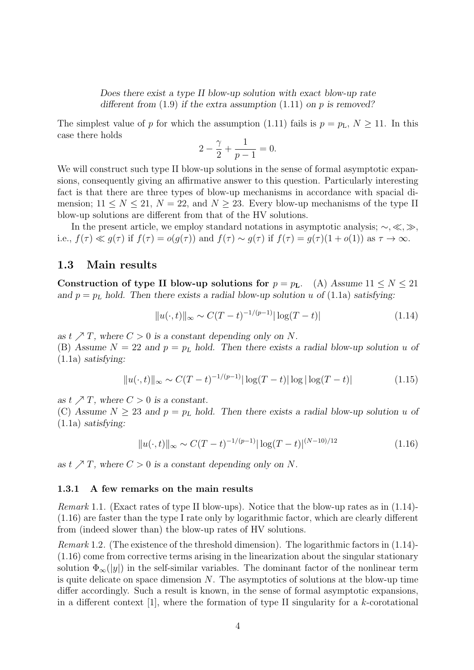*Does there exist a type II blow-up solution with exact blow-up rate different from* (1.9) *if the extra assumption* (1.11) *on p is removed?*

The simplest value of *p* for which the assumption (1.11) fails is  $p = p_L$ ,  $N \ge 11$ . In this case there holds

$$
2 - \frac{\gamma}{2} + \frac{1}{p - 1} = 0.
$$

We will construct such type II blow-up solutions in the sense of formal asymptotic expansions, consequently giving an affirmative answer to this question. Particularly interesting fact is that there are three types of blow-up mechanisms in accordance with spacial dimension;  $11 \leq N \leq 21$ ,  $N = 22$ , and  $N \geq 23$ . Every blow-up mechanisms of the type II blow-up solutions are different from that of the HV solutions.

In the present article, we employ standard notations in asymptotic analysis; *∼, ≪, ≫*, i.e.,  $f(\tau) \ll g(\tau)$  if  $f(\tau) = o(g(\tau))$  and  $f(\tau) \sim g(\tau)$  if  $f(\tau) = g(\tau)(1 + o(1))$  as  $\tau \to \infty$ .

### **1.3 Main results**

**Construction of type II blow-up solutions for**  $p = p_L$ **.** (A) Assume  $11 \leq N \leq 21$ *and*  $p = p<sub>L</sub>$  *hold.* Then there exists a radial blow-up solution *u* of (1.1a) *satisfying*:

$$
||u(\cdot,t)||_{\infty} \sim C(T-t)^{-1/(p-1)}|\log(T-t)| \tag{1.14}
$$

as  $t \nearrow T$ , where  $C > 0$  is a constant depending only on N. (B) Assume  $N = 22$  and  $p = p<sub>L</sub>$  hold. Then there exists a radial blow-up solution *u* of (1.1a) *satisfying:*

$$
||u(\cdot,t)||_{\infty} \sim C(T-t)^{-1/(p-1)} |\log(T-t)| \log |\log(T-t)| \tag{1.15}
$$

*as*  $t \nearrow T$ *, where*  $C > 0$  *is a constant.* 

(C) Assume  $N \geq 23$  and  $p = p<sub>L</sub>$  hold. Then there exists a radial blow-up solution *u* of (1.1a) *satisfying:*

$$
||u(\cdot,t)||_{\infty} \sim C(T-t)^{-1/(p-1)} |\log(T-t)|^{(N-10)/12}
$$
\n(1.16)

as  $t \nearrow T$ , where  $C > 0$  is a constant depending only on N.

#### **1.3.1 A few remarks on the main results**

*Remark* 1.1*.* (Exact rates of type II blow-ups). Notice that the blow-up rates as in (1.14)- (1.16) are faster than the type I rate only by logarithmic factor, which are clearly different from (indeed slower than) the blow-up rates of HV solutions.

*Remark* 1.2*.* (The existence of the threshold dimension). The logarithmic factors in (1.14)- (1.16) come from corrective terms arising in the linearization about the singular stationary solution  $\Phi_{\infty}(|y|)$  in the self-similar variables. The dominant factor of the nonlinear term is quite delicate on space dimension *N*. The asymptotics of solutions at the blow-up time differ accordingly. Such a result is known, in the sense of formal asymptotic expansions, in a different context [1], where the formation of type II singularity for a *k*-corotational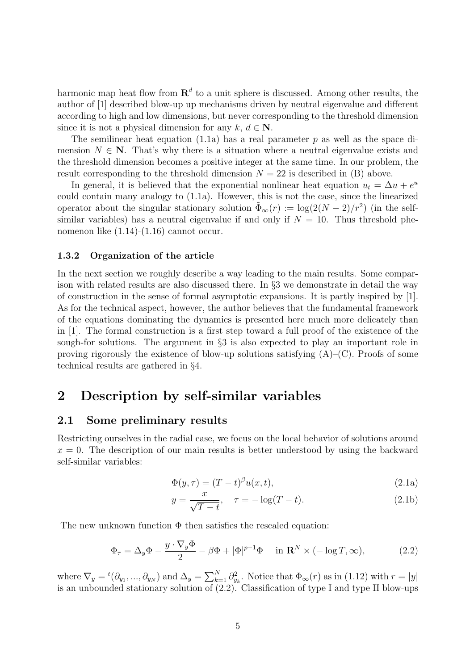harmonic map heat flow from  $\mathbb{R}^d$  to a unit sphere is discussed. Among other results, the author of [1] described blow-up up mechanisms driven by neutral eigenvalue and different according to high and low dimensions, but never corresponding to the threshold dimension since it is not a physical dimension for any  $k, d \in \mathbb{N}$ .

The semilinear heat equation (1.1a) has a real parameter *p* as well as the space dimension  $N \in \mathbb{N}$ . That's why there is a situation where a neutral eigenvalue exists and the threshold dimension becomes a positive integer at the same time. In our problem, the result corresponding to the threshold dimension  $N = 22$  is described in  $(B)$  above.

In general, it is believed that the exponential nonlinear heat equation  $u_t = \Delta u + e^u$ could contain many analogy to (1.1a). However, this is not the case, since the linearized operator about the singular stationary solution  $\tilde{\Phi}_{\infty}(r) := \log(2(N-2)/r^2)$  (in the selfsimilar variables) has a neutral eigenvalue if and only if  $N = 10$ . Thus threshold phenomenon like (1.14)-(1.16) cannot occur.

### **1.3.2 Organization of the article**

In the next section we roughly describe a way leading to the main results. Some comparison with related results are also discussed there. In *§*3 we demonstrate in detail the way of construction in the sense of formal asymptotic expansions. It is partly inspired by  $[1]$ . As for the technical aspect, however, the author believes that the fundamental framework of the equations dominating the dynamics is presented here much more delicately than in [1]. The formal construction is a first step toward a full proof of the existence of the sough-for solutions. The argument in *§*3 is also expected to play an important role in proving rigorously the existence of blow-up solutions satisfying  $(A)$ – $(C)$ . Proofs of some technical results are gathered in *§*4.

# **2 Description by self-similar variables**

### **2.1 Some preliminary results**

Restricting ourselves in the radial case, we focus on the local behavior of solutions around  $x = 0$ . The description of our main results is better understood by using the backward self-similar variables:

$$
\Phi(y,\tau) = (T-t)^{\beta} u(x,t),\tag{2.1a}
$$

$$
y = \frac{x}{\sqrt{T - t}}, \quad \tau = -\log(T - t). \tag{2.1b}
$$

The new unknown function  $\Phi$  then satisfies the rescaled equation:

$$
\Phi_{\tau} = \Delta_y \Phi - \frac{y \cdot \nabla_y \Phi}{2} - \beta \Phi + |\Phi|^{p-1} \Phi \quad \text{in } \mathbf{R}^N \times (-\log T, \infty), \tag{2.2}
$$

where  $\nabla_y = {}^t(\partial_{y_1}, ..., \partial_{y_N})$  and  $\Delta_y = \sum_{k=1}^N \partial_{y_k}^2$ . Notice that  $\Phi_\infty(r)$  as in (1.12) with  $r = |y|$ is an unbounded stationary solution of  $(2.2)$ . Classification of type I and type II blow-ups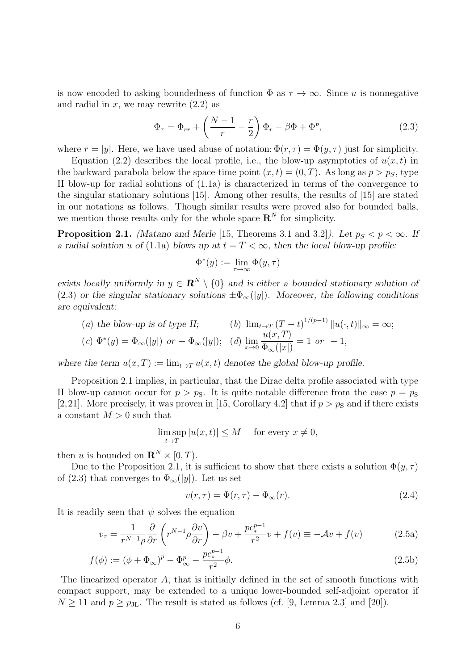is now encoded to asking boundedness of function  $\Phi$  as  $\tau \to \infty$ . Since *u* is nonnegative and radial in  $x$ , we may rewrite  $(2.2)$  as

$$
\Phi_{\tau} = \Phi_{rr} + \left(\frac{N-1}{r} - \frac{r}{2}\right)\Phi_r - \beta\Phi + \Phi^p, \tag{2.3}
$$

where  $r = |y|$ . Here, we have used abuse of notation:  $\Phi(r, \tau) = \Phi(y, \tau)$  just for simplicity.

Equation (2.2) describes the local profile, i.e., the blow-up asymptotics of  $u(x, t)$  in the backward parabola below the space-time point  $(x, t) = (0, T)$ . As long as  $p > p<sub>S</sub>$ , type II blow-up for radial solutions of (1.1a) is characterized in terms of the convergence to the singular stationary solutions [15]. Among other results, the results of [15] are stated in our notations as follows. Though similar results were proved also for bounded balls, we mention those results only for the whole space  $\mathbb{R}^N$  for simplicity.

**Proposition 2.1.** *(Matano and Merle* [15, Theorems 3.1 and 3.2]*). Let*  $p_S < p < \infty$ *.* If *a radial solution u* of (1.1a) blows up at  $t = T < \infty$ , then the local blow-up profile:

$$
\Phi^*(y) := \lim_{\tau \to \infty} \Phi(y, \tau)
$$

*exists locally uniformly in*  $y \in \mathbb{R}^N \setminus \{0\}$  *and is either a bounded stationary solution of* (2.3) or the singular stationary solutions  $\pm \Phi_{\infty}(|y|)$ . Moreover, the following conditions *are equivalent:*

(a) the blow-up is of type II; (b) 
$$
\lim_{t \to T} (T - t)^{1/(p-1)} ||u(\cdot, t)||_{\infty} = \infty;
$$
\n(c)  $\Phi^*(y) = \Phi_{\infty}(|y|)$  or  $-\Phi_{\infty}(|y|)$ ; (d)  $\lim_{x \to 0} \frac{u(x, T)}{\Phi_{\infty}(|x|)} = 1$  or  $-1$ ,

*where the term*  $u(x,T) := \lim_{t \to T} u(x,t)$  *denotes the global blow-up profile.* 

Proposition 2.1 implies, in particular, that the Dirac delta profile associated with type II blow-up cannot occur for  $p > p<sub>S</sub>$ . It is quite notable difference from the case  $p = p<sub>S</sub>$ [2,21]. More precisely, it was proven in [15, Corollary 4.2] that if  $p > p<sub>S</sub>$  and if there exists a constant  $M > 0$  such that

$$
\limsup_{t \to T} |u(x, t)| \le M \quad \text{ for every } x \neq 0,
$$

then *u* is bounded on  $\mathbf{R}^N \times [0, T)$ .

Due to the Proposition 2.1, it is sufficient to show that there exists a solution  $\Phi(y, \tau)$ of (2.3) that converges to  $\Phi_{\infty}(|y|)$ . Let us set

$$
v(r,\tau) = \Phi(r,\tau) - \Phi_{\infty}(r). \tag{2.4}
$$

It is readily seen that  $\psi$  solves the equation

$$
v_{\tau} = \frac{1}{r^{N-1}\rho} \frac{\partial}{\partial r} \left( r^{N-1} \rho \frac{\partial v}{\partial r} \right) - \beta v + \frac{p c_*^{p-1}}{r^2} v + f(v) \equiv -\mathcal{A}v + f(v) \tag{2.5a}
$$

$$
f(\phi) := (\phi + \Phi_{\infty})^p - \Phi_{\infty}^p - \frac{p c_*^{p-1}}{r^2} \phi.
$$
 (2.5b)

The linearized operator *A*, that is initially defined in the set of smooth functions with compact support, may be extended to a unique lower-bounded self-adjoint operator if  $N \geq 11$  and  $p \geq p_{\text{JL}}$ . The result is stated as follows (cf. [9, Lemma 2.3] and [20]).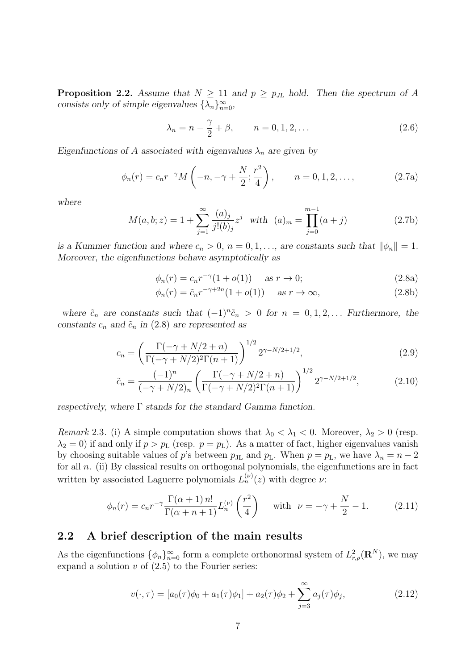**Proposition 2.2.** Assume that  $N \geq 11$  and  $p \geq p_{\text{JL}}$  hold. Then the spectrum of A *consists only of simple eigenvalues*  $\{\lambda_n\}_{n=0}^{\infty}$ ,

$$
\lambda_n = n - \frac{\gamma}{2} + \beta, \qquad n = 0, 1, 2, ...
$$
\n(2.6)

*Eigenfunctions of A associated with eigenvalues*  $\lambda_n$  *are given by* 

$$
\phi_n(r) = c_n r^{-\gamma} M\left(-n, -\gamma + \frac{N}{2}; \frac{r^2}{4}\right), \qquad n = 0, 1, 2, \dots,
$$
 (2.7a)

*where*

$$
M(a, b; z) = 1 + \sum_{j=1}^{\infty} \frac{(a)_j}{j!(b)_j} z^j \quad \text{with} \quad (a)_m = \prod_{j=0}^{m-1} (a+j) \tag{2.7b}
$$

*is a Kummer function and where*  $c_n > 0$ ,  $n = 0, 1, \ldots$ , are constants such that  $||\phi_n|| = 1$ . *Moreover, the eigenfunctions behave asymptotically as*

$$
\phi_n(r) = c_n r^{-\gamma} (1 + o(1)) \quad \text{as } r \to 0; \tag{2.8a}
$$

$$
\phi_n(r) = \tilde{c}_n r^{-\gamma + 2n} (1 + o(1)) \quad \text{as } r \to \infty,
$$
\n(2.8b)

*where*  $\tilde{c}_n$  are constants such that  $(-1)^n \tilde{c}_n > 0$  for  $n = 0, 1, 2, \ldots$  Furthermore, the *constants*  $c_n$  *and*  $\tilde{c}_n$  *in* (2.8) *are represented as* 

$$
c_n = \left(\frac{\Gamma(-\gamma + N/2 + n)}{\Gamma(-\gamma + N/2)^2 \Gamma(n+1)}\right)^{1/2} 2^{\gamma - N/2 + 1/2},\tag{2.9}
$$

$$
\tilde{c}_n = \frac{(-1)^n}{(-\gamma + N/2)_n} \left( \frac{\Gamma(-\gamma + N/2 + n)}{\Gamma(-\gamma + N/2)^2 \Gamma(n+1)} \right)^{1/2} 2^{\gamma - N/2 + 1/2},\tag{2.10}
$$

*respectively, where* Γ *stands for the standard Gamma function.*

*Remark* 2.3. (i) A simple computation shows that  $\lambda_0 < \lambda_1 < 0$ . Moreover,  $\lambda_2 > 0$  (resp.  $\lambda_2 = 0$ ) if and only if  $p > p_L$  (resp.  $p = p_L$ ). As a matter of fact, higher eigenvalues vanish by choosing suitable values of *p*'s between  $p_{\text{JL}}$  and  $p_{\text{L}}$ . When  $p = p_{\text{L}}$ , we have  $\lambda_n = n - 2$ for all *n*. (ii) By classical results on orthogonal polynomials, the eigenfunctions are in fact written by associated Laguerre polynomials  $L_n^{(\nu)}(z)$  with degree  $\nu$ :

$$
\phi_n(r) = c_n r^{-\gamma} \frac{\Gamma(\alpha+1) n!}{\Gamma(\alpha+n+1)} L_n^{(\nu)}\left(\frac{r^2}{4}\right) \quad \text{with} \quad \nu = -\gamma + \frac{N}{2} - 1. \tag{2.11}
$$

# **2.2 A brief description of the main results**

As the eigenfunctions  $\{\phi_n\}_{n=0}^{\infty}$  form a complete orthonormal system of  $L^2_{r,\rho}(\mathbf{R}^N)$ , we may expand a solution  $v$  of  $(2.5)$  to the Fourier series:

$$
v(\cdot,\tau) = [a_0(\tau)\phi_0 + a_1(\tau)\phi_1] + a_2(\tau)\phi_2 + \sum_{j=3}^{\infty} a_j(\tau)\phi_j,
$$
\n(2.12)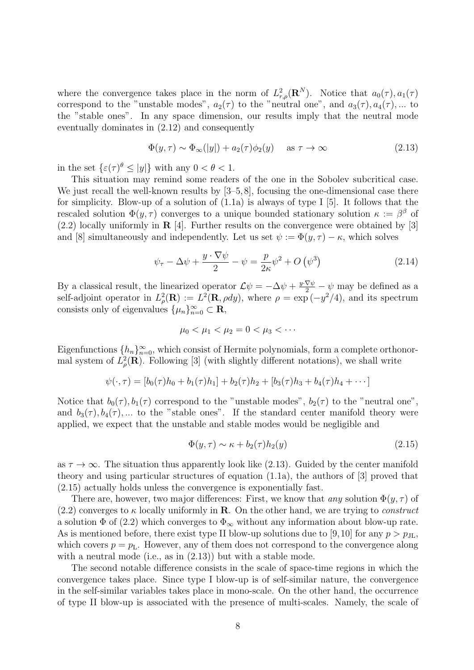where the convergence takes place in the norm of  $L^2_{r,\rho}(\mathbf{R}^N)$ . Notice that  $a_0(\tau), a_1(\tau)$ correspond to the "unstable modes",  $a_2(\tau)$  to the "neutral one", and  $a_3(\tau), a_4(\tau), \ldots$  to the "stable ones". In any space dimension, our results imply that the neutral mode eventually dominates in (2.12) and consequently

$$
\Phi(y,\tau) \sim \Phi_{\infty}(|y|) + a_2(\tau)\phi_2(y) \quad \text{as } \tau \to \infty \tag{2.13}
$$

in the set  $\{\varepsilon(\tau)^\theta \leq |y|\}$  with any  $0 < \theta < 1$ .

This situation may remind some readers of the one in the Sobolev subcritical case. We just recall the well-known results by  $[3-5, 8]$ , focusing the one-dimensional case there for simplicity. Blow-up of a solution of (1.1a) is always of type I [5]. It follows that the rescaled solution  $\Phi(y, \tau)$  converges to a unique bounded stationary solution  $\kappa := \beta^{\beta}$  of (2.2) locally uniformly in **R** [4]. Further results on the convergence were obtained by [3] and [8] simultaneously and independently. Let us set  $\psi := \Phi(y, \tau) - \kappa$ , which solves

$$
\psi_{\tau} - \Delta \psi + \frac{y \cdot \nabla \psi}{2} - \psi = \frac{p}{2\kappa} \psi^2 + O\left(\psi^3\right) \tag{2.14}
$$

By a classical result, the linearized operator  $\mathcal{L}\psi = -\Delta\psi + \frac{y \cdot \nabla \psi}{2} - \psi$  may be defined as a self-adjoint operator in  $L^2_{\rho}(\mathbf{R}) := L^2(\mathbf{R}, \rho dy)$ , where  $\rho = \exp(-y^2/4)$ , and its spectrum consists only of eigenvalues  $\{\mu_n\}_{n=0}^{\infty} \subset \mathbf{R}$ ,

$$
\mu_0 < \mu_1 < \mu_2 = 0 < \mu_3 < \cdots
$$

Eigenfunctions  $\{h_n\}_{n=0}^{\infty}$ , which consist of Hermite polynomials, form a complete orthonormal system of  $L^2_{\rho}(\mathbf{R})$ . Following [3] (with slightly different notations), we shall write

$$
\psi(\cdot,\tau) = [b_0(\tau)h_0 + b_1(\tau)h_1] + b_2(\tau)h_2 + [b_3(\tau)h_3 + b_4(\tau)h_4 + \cdots]
$$

Notice that  $b_0(\tau)$ ,  $b_1(\tau)$  correspond to the "unstable modes",  $b_2(\tau)$  to the "neutral one", and  $b_3(\tau), b_4(\tau), \ldots$  to the "stable ones". If the standard center manifold theory were applied, we expect that the unstable and stable modes would be negligible and

$$
\Phi(y,\tau) \sim \kappa + b_2(\tau)h_2(y) \tag{2.15}
$$

as  $\tau \to \infty$ . The situation thus apparently look like (2.13). Guided by the center manifold theory and using particular structures of equation (1.1a), the authors of [3] proved that (2.15) actually holds unless the convergence is exponentially fast.

There are, however, two major differences: First, we know that *any* solution  $\Phi(y, \tau)$  of  $(2.2)$  converges to  $\kappa$  locally uniformly in **R**. On the other hand, we are trying to *construct* a solution  $\Phi$  of (2.2) which converges to  $\Phi_{\infty}$  without any information about blow-up rate. As is mentioned before, there exist type II blow-up solutions due to [9,10] for any  $p > p_{\text{JL}}$ , which covers  $p = p_L$ . However, any of them does not correspond to the convergence along with a neutral mode (i.e., as in  $(2.13)$ ) but with a stable mode.

The second notable difference consists in the scale of space-time regions in which the convergence takes place. Since type I blow-up is of self-similar nature, the convergence in the self-similar variables takes place in mono-scale. On the other hand, the occurrence of type II blow-up is associated with the presence of multi-scales. Namely, the scale of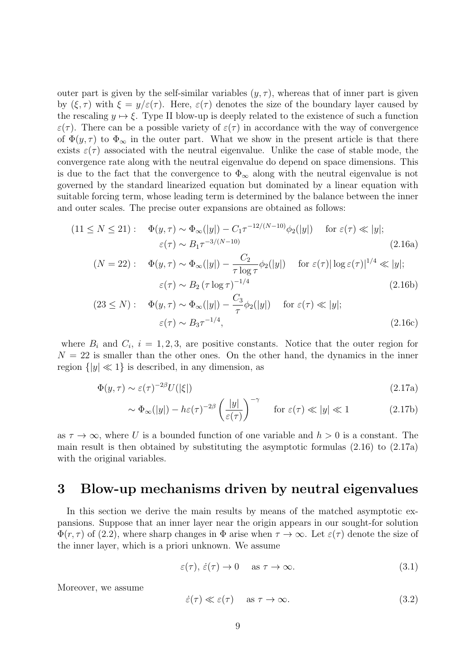outer part is given by the self-similar variables  $(y, \tau)$ , whereas that of inner part is given by (*ξ, τ* ) with *ξ* = *y/ε*(*τ* ). Here, *ε*(*τ* ) denotes the size of the boundary layer caused by the rescaling  $y \mapsto \xi$ . Type II blow-up is deeply related to the existence of such a function  $\varepsilon(\tau)$ . There can be a possible variety of  $\varepsilon(\tau)$  in accordance with the way of convergence of  $\Phi(y,\tau)$  to  $\Phi_{\infty}$  in the outer part. What we show in the present article is that there exists  $\varepsilon(\tau)$  associated with the neutral eigenvalue. Unlike the case of stable mode, the convergence rate along with the neutral eigenvalue do depend on space dimensions. This is due to the fact that the convergence to  $\Phi_{\infty}$  along with the neutral eigenvalue is not governed by the standard linearized equation but dominated by a linear equation with suitable forcing term, whose leading term is determined by the balance between the inner and outer scales. The precise outer expansions are obtained as follows:

$$
(11 \le N \le 21): \quad \Phi(y,\tau) \sim \Phi_{\infty}(|y|) - C_1 \tau^{-12/(N-10)} \phi_2(|y|) \quad \text{for } \varepsilon(\tau) \ll |y|; \n\varepsilon(\tau) \sim B_1 \tau^{-3/(N-10)} \tag{2.16a}
$$

$$
(N = 22): \quad \Phi(y, \tau) \sim \Phi_{\infty}(|y|) - \frac{C_2}{\tau \log \tau} \phi_2(|y|) \quad \text{for } \varepsilon(\tau) |\log \varepsilon(\tau)|^{1/4} \ll |y|;
$$

$$
\varepsilon(\tau) \sim B_2 (\tau \log \tau)^{-1/4}
$$
(2.16b)

$$
(23 \le N): \quad \Phi(y,\tau) \sim \Phi_{\infty}(|y|) - \frac{C_3}{\tau} \phi_2(|y|) \quad \text{for } \varepsilon(\tau) \ll |y|; \n\varepsilon(\tau) \sim B_3 \tau^{-1/4},
$$
\n(2.16c)

where  $B_i$  and  $C_i$ ,  $i = 1, 2, 3$ , are positive constants. Notice that the outer region for  $N = 22$  is smaller than the other ones. On the other hand, the dynamics in the inner region  $\{|y| \ll 1\}$  is described, in any dimension, as

$$
\Phi(y,\tau) \sim \varepsilon(\tau)^{-2\beta} U(|\xi|) \tag{2.17a}
$$

$$
\sim \Phi_{\infty}(|y|) - h\varepsilon(\tau)^{-2\beta} \left(\frac{|y|}{\varepsilon(\tau)}\right)^{-\gamma} \quad \text{for } \varepsilon(\tau) \ll |y| \ll 1 \tag{2.17b}
$$

as  $\tau \to \infty$ , where U is a bounded function of one variable and  $h > 0$  is a constant. The main result is then obtained by substituting the asymptotic formulas (2.16) to (2.17a) with the original variables.

# **3 Blow-up mechanisms driven by neutral eigenvalues**

In this section we derive the main results by means of the matched asymptotic expansions. Suppose that an inner layer near the origin appears in our sought-for solution  $\Phi(r,\tau)$  of (2.2), where sharp changes in  $\Phi$  arise when  $\tau \to \infty$ . Let  $\varepsilon(\tau)$  denote the size of the inner layer, which is a priori unknown. We assume

$$
\varepsilon(\tau), \dot{\varepsilon}(\tau) \to 0 \quad \text{ as } \tau \to \infty. \tag{3.1}
$$

Moreover, we assume

$$
\dot{\varepsilon}(\tau) \ll \varepsilon(\tau) \quad \text{ as } \tau \to \infty. \tag{3.2}
$$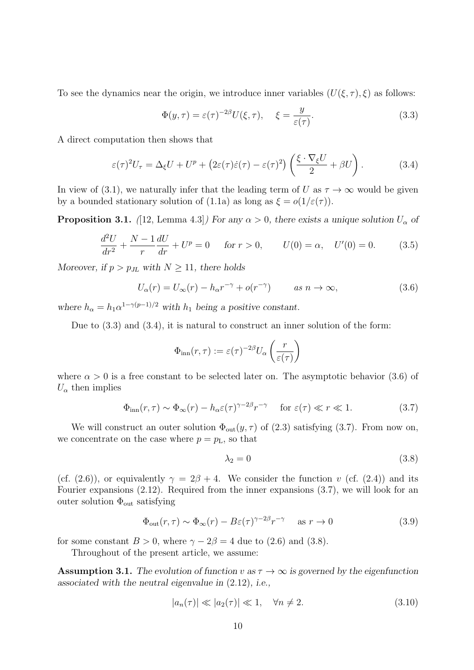To see the dynamics near the origin, we introduce inner variables  $(U(\xi, \tau), \xi)$  as follows:

$$
\Phi(y,\tau) = \varepsilon(\tau)^{-2\beta} U(\xi,\tau), \quad \xi = \frac{y}{\varepsilon(\tau)}.
$$
\n(3.3)

A direct computation then shows that

$$
\varepsilon(\tau)^2 U_\tau = \Delta_\xi U + U^p + \left(2\varepsilon(\tau)\dot{\varepsilon}(\tau) - \varepsilon(\tau)^2\right) \left(\frac{\xi \cdot \nabla_\xi U}{2} + \beta U\right). \tag{3.4}
$$

In view of (3.1), we naturally infer that the leading term of *U* as  $\tau \to \infty$  would be given by a bounded stationary solution of (1.1a) as long as  $\xi = o(1/\varepsilon(\tau))$ .

**Proposition 3.1.** *(*[12, Lemma 4.3]*) For any*  $\alpha > 0$ *, there exists a unique solution*  $U_{\alpha}$  *of* 

$$
\frac{d^2U}{dr^2} + \frac{N-1}{r}\frac{dU}{dr} + U^p = 0 \quad \text{for } r > 0, \qquad U(0) = \alpha, \quad U'(0) = 0. \tag{3.5}
$$

*Moreover, if*  $p > p_{JL}$  *with*  $N \geq 11$ *, there holds* 

$$
U_{\alpha}(r) = U_{\infty}(r) - h_{\alpha}r^{-\gamma} + o(r^{-\gamma}) \qquad \text{as } n \to \infty,
$$
\n(3.6)

*where*  $h_{\alpha} = h_1 \alpha^{1-\gamma(p-1)/2}$  *with*  $h_1$  *being a positive constant.* 

Due to (3.3) and (3.4), it is natural to construct an inner solution of the form:

$$
\Phi_{\rm inn}(r,\tau) := \varepsilon(\tau)^{-2\beta} U_{\alpha}\left(\frac{r}{\varepsilon(\tau)}\right)
$$

where  $\alpha > 0$  is a free constant to be selected later on. The asymptotic behavior (3.6) of  $U_{\alpha}$  then implies

$$
\Phi_{\rm inn}(r,\tau) \sim \Phi_{\infty}(r) - h_{\alpha}\varepsilon(\tau)^{\gamma - 2\beta}r^{-\gamma} \quad \text{for } \varepsilon(\tau) \ll r \ll 1. \tag{3.7}
$$

We will construct an outer solution  $\Phi_{\text{out}}(y, \tau)$  of (2.3) satisfying (3.7). From now on, we concentrate on the case where  $p = p_L$ , so that

$$
\lambda_2 = 0 \tag{3.8}
$$

(cf. (2.6)), or equivalently  $\gamma = 2\beta + 4$ . We consider the function *v* (cf. (2.4)) and its Fourier expansions (2.12). Required from the inner expansions (3.7), we will look for an outer solution  $\Phi_{\text{out}}$  satisfying

$$
\Phi_{\text{out}}(r,\tau) \sim \Phi_{\infty}(r) - B\varepsilon(\tau)^{\gamma - 2\beta} r^{-\gamma} \quad \text{as } r \to 0 \tag{3.9}
$$

for some constant  $B > 0$ , where  $\gamma - 2\beta = 4$  due to (2.6) and (3.8).

Throughout of the present article, we assume:

**Assumption 3.1.** The evolution of function  $v$  as  $\tau \to \infty$  is governed by the eigenfunction *associated with the neutral eigenvalue in* (2.12)*, i.e.,*

$$
|a_n(\tau)| \ll |a_2(\tau)| \ll 1, \quad \forall n \neq 2. \tag{3.10}
$$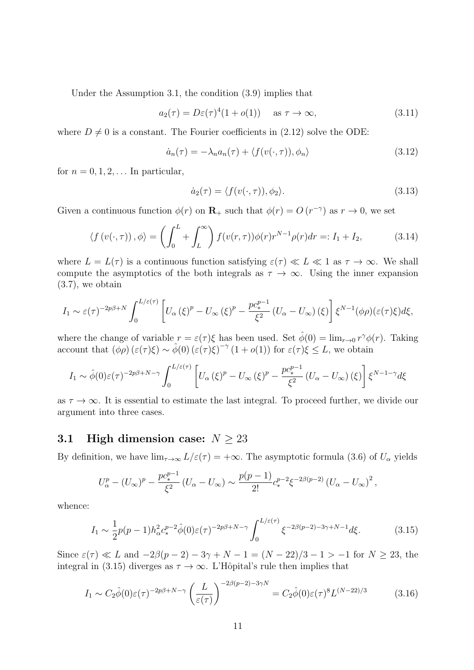Under the Assumption 3.1, the condition (3.9) implies that

$$
a_2(\tau) = D\varepsilon(\tau)^4 (1 + o(1)) \quad \text{as } \tau \to \infty,
$$
\n(3.11)

where  $D \neq 0$  is a constant. The Fourier coefficients in (2.12) solve the ODE:

$$
\dot{a}_n(\tau) = -\lambda_n a_n(\tau) + \langle f(v(\cdot, \tau)), \phi_n \rangle \tag{3.12}
$$

for  $n = 0, 1, 2, \ldots$  In particular,

$$
\dot{a}_2(\tau) = \langle f(v(\cdot, \tau)), \phi_2 \rangle. \tag{3.13}
$$

Given a continuous function  $\phi(r)$  on  $\mathbf{R}_+$  such that  $\phi(r) = O(r^{-\gamma})$  as  $r \to 0$ , we set

$$
\langle f(v(\cdot,\tau)),\phi\rangle = \left(\int_0^L + \int_L^\infty\right) f(v(r,\tau))\phi(r)r^{N-1}\rho(r)dr =: I_1 + I_2,\tag{3.14}
$$

where  $L = L(\tau)$  is a continuous function satisfying  $\varepsilon(\tau) \ll L \ll 1$  as  $\tau \to \infty$ . We shall compute the asymptotics of the both integrals as  $\tau \to \infty$ . Using the inner expansion (3.7), we obtain

$$
I_1 \sim \varepsilon(\tau)^{-2p\beta+N} \int_0^{L/\varepsilon(\tau)} \left[ U_\alpha(\xi)^p - U_\infty(\xi)^p - \frac{pc_*^{p-1}}{\xi^2} \left( U_\alpha - U_\infty(\xi) \right) \right] \xi^{N-1}(\phi \rho)(\varepsilon(\tau)\xi) d\xi,
$$

where the change of variable  $r = \varepsilon(\tau)\xi$  has been used. Set  $\hat{\phi}(0) = \lim_{r \to 0} r^{\gamma} \phi(r)$ . Taking account that  $(\phi \rho) (\varepsilon(\tau) \xi) \sim \hat{\phi}(0) (\varepsilon(\tau) \xi)^{-\gamma} (1 + o(1))$  for  $\varepsilon(\tau) \xi \leq L$ , we obtain

$$
I_1 \sim \hat{\phi}(0)\varepsilon(\tau)^{-2p\beta+N-\gamma} \int_0^{L/\varepsilon(\tau)} \left[ U_\alpha(\xi)^p - U_\infty(\xi)^p - \frac{p c_*^{p-1}}{\xi^2} \left( U_\alpha - U_\infty(\xi) \right) \right] \xi^{N-1-\gamma} d\xi
$$

as  $\tau \to \infty$ . It is essential to estimate the last integral. To proceed further, we divide our argument into three cases.

## **3.1 High dimension case:**  $N \geq 23$

By definition, we have  $\lim_{\tau \to \infty} L/\varepsilon(\tau) = +\infty$ . The asymptotic formula (3.6) of  $U_{\alpha}$  yields

$$
U_{\alpha}^{p} - (U_{\infty})^{p} - \frac{pc_{*}^{p-1}}{\xi^{2}} (U_{\alpha} - U_{\infty}) \sim \frac{p(p-1)}{2!} c_{*}^{p-2} \xi^{-2\beta(p-2)} (U_{\alpha} - U_{\infty})^{2},
$$

whence:

$$
I_1 \sim \frac{1}{2}p(p-1)h_{\alpha}^2 c_*^{p-2} \hat{\phi}(0)\varepsilon(\tau)^{-2p\beta+N-\gamma} \int_0^{L/\varepsilon(\tau)} \xi^{-2\beta(p-2)-3\gamma+N-1} d\xi.
$$
 (3.15)

Since  $\varepsilon(\tau) \ll L$  and  $-2\beta(p-2) - 3\gamma + N - 1 = (N-22)/3 - 1 > -1$  for  $N \ge 23$ , the integral in (3.15) diverges as  $\tau \to \infty$ . L'Hôpital's rule then implies that

$$
I_1 \sim C_2 \hat{\phi}(0)\varepsilon(\tau)^{-2p\beta + N - \gamma} \left(\frac{L}{\varepsilon(\tau)}\right)^{-2\beta(p-2) - 3\gamma N} = C_2 \hat{\phi}(0)\varepsilon(\tau)^8 L^{(N-22)/3}
$$
(3.16)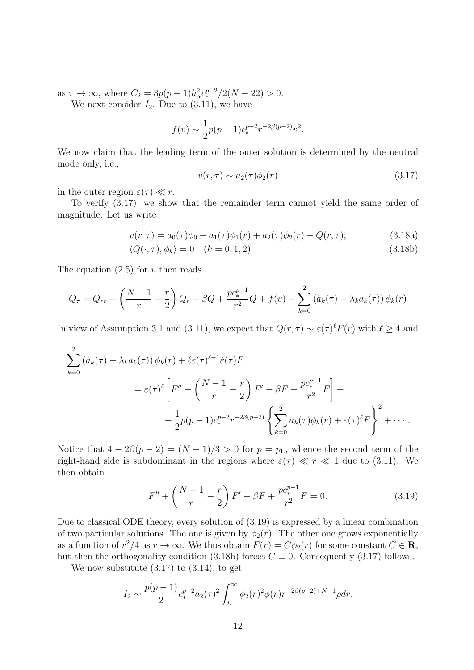as  $\tau \to \infty$ , where  $C_2 = 3p(p-1)h_\alpha^2 c_*^{p-2}/2(N-22) > 0$ .

We next consider  $I_2$ . Due to (3.11), we have

$$
f(v) \sim \frac{1}{2}p(p-1)c_*^{p-2}r^{-2\beta(p-2)}v^2.
$$

We now claim that the leading term of the outer solution is determined by the neutral mode only, i.e.,

$$
v(r,\tau) \sim a_2(\tau)\phi_2(r) \tag{3.17}
$$

in the outer region  $\varepsilon(\tau) \ll r$ .

To verify (3.17), we show that the remainder term cannot yield the same order of magnitude. Let us write

$$
v(r,\tau) = a_0(\tau)\phi_0 + a_1(\tau)\phi_1(r) + a_2(\tau)\phi_2(r) + Q(r,\tau), \tag{3.18a}
$$

$$
\langle Q(\cdot, \tau), \phi_k \rangle = 0 \quad (k = 0, 1, 2). \tag{3.18b}
$$

The equation (2.5) for *v* then reads

$$
Q_{\tau} = Q_{rr} + \left(\frac{N-1}{r} - \frac{r}{2}\right)Q_r - \beta Q + \frac{pc_*^{p-1}}{r^2}Q + f(v) - \sum_{k=0}^2 \left(\dot{a}_k(\tau) - \lambda_k a_k(\tau)\right)\phi_k(r)
$$

In view of Assumption 3.1 and (3.11), we expect that  $Q(r, \tau) \sim \varepsilon(\tau)^{\ell} F(r)$  with  $\ell \geq 4$  and

$$
\sum_{k=0}^{2} \left( \dot{a}_k(\tau) - \lambda_k a_k(\tau) \right) \phi_k(r) + \ell \varepsilon(\tau)^{\ell-1} \dot{\varepsilon}(\tau) F
$$
\n
$$
= \varepsilon(\tau)^{\ell} \left[ F'' + \left( \frac{N-1}{r} - \frac{r}{2} \right) F' - \beta F + \frac{p c_*^{p-1}}{r^2} F \right] +
$$
\n
$$
+ \frac{1}{2} p(p-1) c_*^{p-2} r^{-2\beta(p-2)} \left\{ \sum_{k=0}^{2} a_k(\tau) \phi_k(r) + \varepsilon(\tau)^{\ell} F \right\}^2 + \cdots
$$

Notice that  $4 - 2\beta(p - 2) = (N - 1)/3 > 0$  for  $p = p_L$ , whence the second term of the right-hand side is subdominant in the regions where  $\varepsilon(\tau) \ll r \ll 1$  due to (3.11). We then obtain

$$
F'' + \left(\frac{N-1}{r} - \frac{r}{2}\right)F' - \beta F + \frac{pc_*^{p-1}}{r^2}F = 0.
$$
 (3.19)

Due to classical ODE theory, every solution of (3.19) is expressed by a linear combination of two particular solutions. The one is given by  $\phi_2(r)$ . The other one grows exponentially as a function of  $r^2/4$  as  $r \to \infty$ . We thus obtain  $F(r) = C\phi_2(r)$  for some constant  $C \in \mathbb{R}$ , but then the orthogonality condition (3.18b) forces  $C \equiv 0$ . Consequently (3.17) follows.

We now substitute  $(3.17)$  to  $(3.14)$ , to get

$$
I_2 \sim \frac{p(p-1)}{2} c_*^{p-2} a_2(\tau)^2 \int_L^{\infty} \phi_2(r)^2 \phi(r) r^{-2\beta(p-2)+N-1} \rho dr.
$$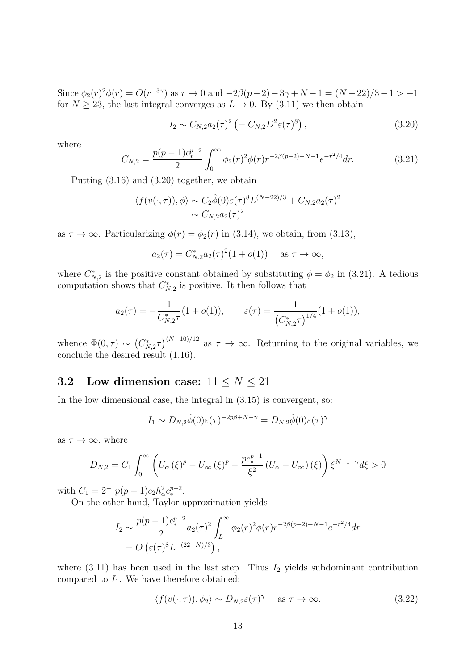Since  $\phi_2(r)^2 \phi(r) = O(r^{-3\gamma})$  as  $r \to 0$  and  $-2\beta(p-2) - 3\gamma + N - 1 = (N-22)/3 - 1 > -1$ for  $N \geq 23$ , the last integral converges as  $L \to 0$ . By (3.11) we then obtain

$$
I_2 \sim C_{N,2} a_2(\tau)^2 \left(= C_{N,2} D^2 \varepsilon(\tau)^8\right), \tag{3.20}
$$

where

$$
C_{N,2} = \frac{p(p-1)c_*^{p-2}}{2} \int_0^\infty \phi_2(r)^2 \phi(r) r^{-2\beta(p-2)+N-1} e^{-r^2/4} dr.
$$
 (3.21)

Putting (3.16) and (3.20) together, we obtain

$$
\langle f(v(\cdot,\tau)),\phi\rangle \sim C_2\hat{\phi}(0)\varepsilon(\tau)^8 L^{(N-22)/3} + C_{N,2}a_2(\tau)^2
$$

$$
\sim C_{N,2}a_2(\tau)^2
$$

as  $\tau \to \infty$ . Particularizing  $\phi(r) = \phi_2(r)$  in (3.14), we obtain, from (3.13),

$$
\dot{a_2}(\tau) = C_{N,2}^* a_2(\tau)^2 (1 + o(1)) \quad \text{as } \tau \to \infty,
$$

where  $C_{N,2}^*$  is the positive constant obtained by substituting  $\phi = \phi_2$  in (3.21). A tedious computation shows that  $C_{N,2}^*$  is positive. It then follows that

$$
a_2(\tau) = -\frac{1}{C_{N,2}^{\ast}\tau}(1 + o(1)), \qquad \varepsilon(\tau) = \frac{1}{\left(C_{N,2}^{\ast}\tau\right)^{1/4}}(1 + o(1)),
$$

whence  $\Phi(0, \tau) \sim (C_{N,2}^* \tau)^{(N-10)/12}$  as  $\tau \to \infty$ . Returning to the original variables, we conclude the desired result (1.16).

# **3.2** Low dimension case:  $11 \leq N \leq 21$

In the low dimensional case, the integral in  $(3.15)$  is convergent, so:

$$
I_1 \sim D_{N,2}\hat{\phi}(0)\varepsilon(\tau)^{-2p\beta+N-\gamma} = D_{N,2}\hat{\phi}(0)\varepsilon(\tau)^{\gamma}
$$

as  $\tau \to \infty$ , where

$$
D_{N,2} = C_1 \int_0^\infty \left( U_\alpha \left( \xi \right)^p - U_\infty \left( \xi \right)^p - \frac{p c_*^{p-1}}{\xi^2} \left( U_\alpha - U_\infty \right) \left( \xi \right) \right) \xi^{N-1-\gamma} d\xi > 0
$$

with  $C_1 = 2^{-1}p(p-1)c_2h_\alpha^2c_*^{p-2}$ .

On the other hand, Taylor approximation yields

$$
I_2 \sim \frac{p(p-1)c_*^{p-2}}{2} a_2(\tau)^2 \int_L^{\infty} \phi_2(r)^2 \phi(r) r^{-2\beta(p-2)+N-1} e^{-r^2/4} dr
$$
  
=  $O\left(\varepsilon(\tau)^8 L^{-(22-N)/3}\right)$ ,

where  $(3.11)$  has been used in the last step. Thus  $I_2$  yields subdominant contribution compared to  $I_1$ . We have therefore obtained:

$$
\langle f(v(\cdot,\tau)), \phi_2 \rangle \sim D_{N,2} \varepsilon(\tau)^\gamma \quad \text{ as } \tau \to \infty. \tag{3.22}
$$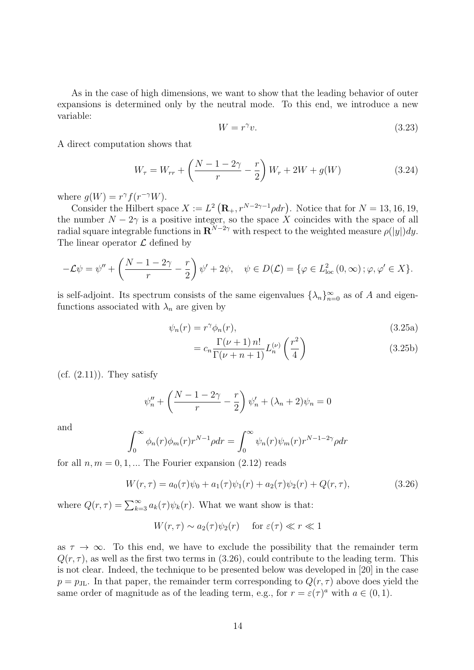As in the case of high dimensions, we want to show that the leading behavior of outer expansions is determined only by the neutral mode. To this end, we introduce a new variable:

$$
W = r^{\gamma}v.\tag{3.23}
$$

A direct computation shows that

$$
W_{\tau} = W_{rr} + \left(\frac{N - 1 - 2\gamma}{r} - \frac{r}{2}\right)W_r + 2W + g(W)
$$
 (3.24)

where  $g(W) = r^{\gamma} f(r^{-\gamma}W)$ .

Consider the Hilbert space  $X := L^2(\mathbf{R}_+, r^{N-2\gamma-1}\rho dr)$ . Notice that for  $N = 13, 16, 19$ , the number  $N-2\gamma$  is a positive integer, so the space X coincides with the space of all  $\alpha$  radial square integrable functions in  $\mathbf{R}^{N-2\gamma}$  with respect to the weighted measure  $\rho(|y|)dy$ . The linear operator *L* defined by

$$
-\mathcal{L}\psi = \psi'' + \left(\frac{N-1-2\gamma}{r} - \frac{r}{2}\right)\psi' + 2\psi, \quad \psi \in D(\mathcal{L}) = \{\varphi \in L^2_{\text{loc}}(0,\infty) \, ; \varphi, \varphi' \in X\}.
$$

is self-adjoint. Its spectrum consists of the same eigenvalues  $\{\lambda_n\}_{n=0}^{\infty}$  as of *A* and eigenfunctions associated with  $\lambda_n$  are given by

$$
\psi_n(r) = r^\gamma \phi_n(r),\tag{3.25a}
$$
\n
$$
\Gamma(\nu+1) n! \quad (\nu+1) n! \quad (\nu+1) n! \quad (\nu+1) n! \quad (\nu+1) n! \quad (\nu+1) n! \quad (\nu+1) n! \quad (\nu+1) n! \quad (\nu+1) n! \quad (\nu+1) n! \quad (\nu+1) n! \quad (\nu+1) n! \quad (\nu+1) n! \quad (\nu+1) n! \quad (\nu+1) n! \quad (\nu+1) n! \quad (\nu+1) n! \quad (\nu+1) n! \quad (\nu+1) n! \quad (\nu+1) n! \quad (\nu+1) n! \quad (\nu+1) n! \quad (\nu+1) n! \quad (\nu+1) n! \quad (\nu+1) n! \quad (\nu+1) n! \quad (\nu+1) n! \quad (\nu+1) n! \quad (\nu+1) n! \quad (\nu+1) n! \quad (\nu+1) n! \quad (\nu+1) n! \quad (\nu+1) n! \quad (\nu+1) n! \quad (\nu+1) n! \quad (\nu+1) n! \quad (\nu+1) n! \quad (\nu+1) n! \quad (\nu+1) n! \quad (\nu+1) n! \quad (\nu+1) n! \quad (\nu+1) n! \quad (\nu+1) n! \quad (\nu+1) n! \quad (\nu+1) n! \quad (\nu+1) n! \quad (\nu+1) n! \quad (\nu+1) n! \quad (\nu+1) n! \quad (\nu+1) n! \quad (\nu+1) n! \quad (\nu+1) n! \quad (\nu+1) n! \quad (\nu+1) n! \quad (\nu+1) n! \quad (\nu+1) n! \quad (\nu+1) n! \quad (\nu+1) n! \quad (\nu+1) n! \quad (\nu+1) n! \quad (\nu+1) n! \quad (\nu+1) n! \quad (\nu+1) n! \quad (\nu+1) n! \quad (\nu+1) n! \quad (\nu+1) n! \quad (\nu+1) n! \quad (\nu+1) n! \quad (\nu+1) n! \quad (\nu+1) n! \quad (\nu+1) n! \quad (\nu+1) n! \quad (\nu+1) n! \quad (\nu+1) n! \quad (\nu+1) n! \quad (\nu+1) n! \quad (\nu+1) n! \quad (\nu+1) n! \quad (\nu+1) n! \quad (\nu+1) n! \quad (\nu+1) n!
$$

$$
=c_n \frac{\Gamma(\nu+1) n!}{\Gamma(\nu+n+1)} L_n^{(\nu)}\left(\frac{r^2}{4}\right) \tag{3.25b}
$$

 $(cf. (2.11))$ . They satisfy

$$
\psi_n'' + \left(\frac{N-1-2\gamma}{r} - \frac{r}{2}\right)\psi_n' + (\lambda_n + 2)\psi_n = 0
$$

and

$$
\int_0^\infty \phi_n(r)\phi_m(r)r^{N-1}\rho dr = \int_0^\infty \psi_n(r)\psi_m(r)r^{N-1-2\gamma}\rho dr
$$

for all  $n, m = 0, 1, \dots$  The Fourier expansion  $(2.12)$  reads

$$
W(r,\tau) = a_0(\tau)\psi_0 + a_1(\tau)\psi_1(r) + a_2(\tau)\psi_2(r) + Q(r,\tau), \qquad (3.26)
$$

where  $Q(r,\tau) = \sum_{k=3}^{\infty} a_k(\tau) \psi_k(r)$ . What we want show is that:

$$
W(r,\tau) \sim a_2(\tau)\psi_2(r) \quad \text{ for } \varepsilon(\tau) \ll r \ll 1
$$

as  $\tau \to \infty$ . To this end, we have to exclude the possibility that the remainder term  $Q(r, \tau)$ , as well as the first two terms in (3.26), could contribute to the leading term. This is not clear. Indeed, the technique to be presented below was developed in [20] in the case  $p = p_{\text{JL}}$ . In that paper, the remainder term corresponding to  $Q(r, \tau)$  above does yield the same order of magnitude as of the leading term, e.g., for  $r = \varepsilon(\tau)^a$  with  $a \in (0,1)$ .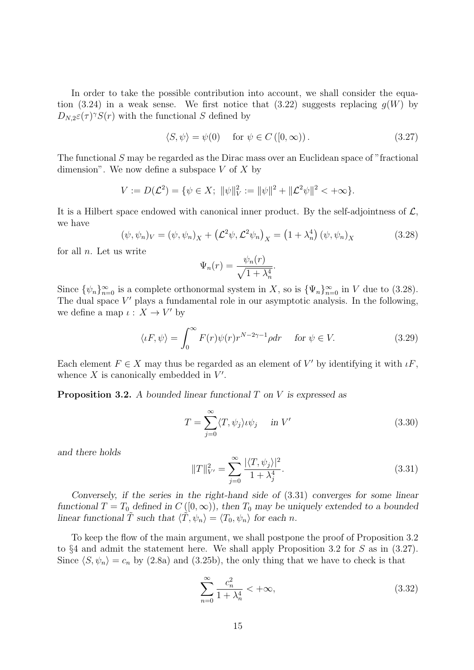In order to take the possible contribution into account, we shall consider the equation (3.24) in a weak sense. We first notice that (3.22) suggests replacing  $g(W)$  by  $D_{N,2}\varepsilon(\tau)$ <sup>*γ*</sup>*S*(*r*) with the functional *S* defined by

$$
\langle S, \psi \rangle = \psi(0) \quad \text{for } \psi \in C([0, \infty)). \tag{3.27}
$$

The functional *S* may be regarded as the Dirac mass over an Euclidean space of "fractional dimension". We now define a subspace *V* of *X* by

$$
V := D(\mathcal{L}^2) = \{ \psi \in X; \ \|\psi\|_V^2 := \|\psi\|^2 + \|\mathcal{L}^2 \psi\|^2 < +\infty \}.
$$

It is a Hilbert space endowed with canonical inner product. By the self-adjointness of *L*, we have

$$
(\psi, \psi_n)_V = (\psi, \psi_n)_X + (\mathcal{L}^2 \psi, \mathcal{L}^2 \psi_n)_X = (1 + \lambda_n^4) (\psi, \psi_n)_X
$$
\n(3.28)

for all *n*. Let us write

$$
\Psi_n(r) = \frac{\psi_n(r)}{\sqrt{1 + \lambda_n^4}}.
$$

Since  $\{\psi_n\}_{n=0}^{\infty}$  is a complete orthonormal system in *X*, so is  $\{\Psi_n\}_{n=0}^{\infty}$  in *V* due to (3.28). The dual space V' plays a fundamental role in our asymptotic analysis. In the following, we define a map  $\iota : X \to V'$  by

$$
\langle uF, \psi \rangle = \int_0^\infty F(r)\psi(r)r^{N-2\gamma-1}\rho dr \quad \text{ for } \psi \in V. \tag{3.29}
$$

Each element  $F \in X$  may thus be regarded as an element of  $V'$  by identifying it with  $\iota F$ , whence *X* is canonically embedded in *V ′* .

**Proposition 3.2.** *A bounded linear functional T on V is expressed as*

$$
T = \sum_{j=0}^{\infty} \langle T, \psi_j \rangle \psi_j \quad \text{in } V' \tag{3.30}
$$

*and there holds*

$$
||T||_{V'}^2 = \sum_{j=0}^{\infty} \frac{|\langle T, \psi_j \rangle|^2}{1 + \lambda_j^4}.
$$
\n(3.31)

*Conversely, if the series in the right-hand side of* (3.31) *converges for some linear functional*  $T = T_0$  *defined in*  $C([0, \infty))$ *, then*  $T_0$  *may be uniquely extended to a bounded linear functional*  $\tilde{T}$  *such that*  $\langle \tilde{T}, \psi_n \rangle = \langle T_0, \psi_n \rangle$  *for each n.* 

To keep the flow of the main argument, we shall postpone the proof of Proposition 3.2 to *§*4 and admit the statement here. We shall apply Proposition 3.2 for *S* as in (3.27). Since  $\langle S, \psi_n \rangle = c_n$  by (2.8a) and (3.25b), the only thing that we have to check is that

$$
\sum_{n=0}^{\infty} \frac{c_n^2}{1 + \lambda_n^4} < +\infty,\tag{3.32}
$$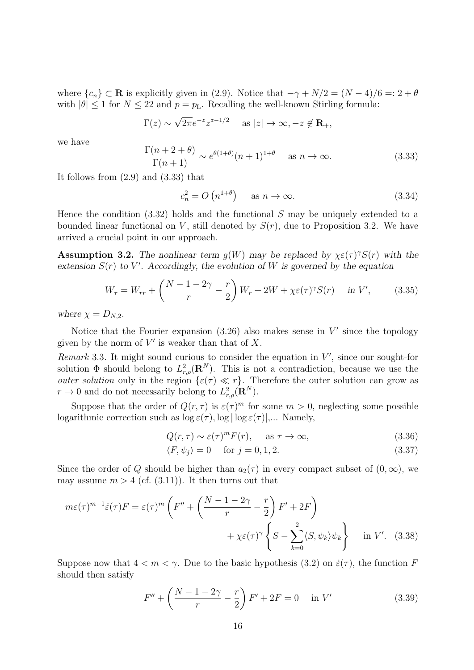where  ${c_n} \subset \mathbb{R}$  is explicitly given in (2.9). Notice that  $-\gamma + N/2 = (N-4)/6 = 2 + \theta$ with  $|\theta| \leq 1$  for  $N \leq 22$  and  $p = p_L$ . Recalling the well-known Stirling formula:

$$
\Gamma(z) \sim \sqrt{2\pi} e^{-z} z^{z-1/2}
$$
 as  $|z| \to \infty, -z \notin \mathbf{R}_+,$ 

we have

$$
\frac{\Gamma(n+2+\theta)}{\Gamma(n+1)} \sim e^{\theta(1+\theta)}(n+1)^{1+\theta} \quad \text{as } n \to \infty.
$$
 (3.33)

It follows from (2.9) and (3.33) that

$$
c_n^2 = O\left(n^{1+\theta}\right) \quad \text{as } n \to \infty. \tag{3.34}
$$

Hence the condition (3.32) holds and the functional *S* may be uniquely extended to a bounded linear functional on *V*, still denoted by  $S(r)$ , due to Proposition 3.2. We have arrived a crucial point in our approach.

**Assumption 3.2.** The nonlinear term  $g(W)$  may be replaced by  $\chi \in (f)^\gamma S(f)$  with the extension  $S(r)$  to  $V'$ . Accordingly, the evolution of  $W$  is governed by the equation

$$
W_{\tau} = W_{rr} + \left(\frac{N-1-2\gamma}{r} - \frac{r}{2}\right)W_r + 2W + \chi \varepsilon(\tau)^{\gamma} S(r) \quad \text{in } V', \tag{3.35}
$$

*where*  $\chi = D_{N,2}$ *.* 

Notice that the Fourier expansion (3.26) also makes sense in *V ′* since the topology given by the norm of *V ′* is weaker than that of *X*.

*Remark* 3.3*.* It might sound curious to consider the equation in *V ′* , since our sought-for solution  $\Phi$  should belong to  $L^2_{r,\rho}(\mathbf{R}^N)$ . This is not a contradiction, because we use the *outer solution* only in the region  $\{\varepsilon(\tau) \ll r\}$ . Therefore the outer solution can grow as  $r \to 0$  and do not necessarily belong to  $L^2_{r,\rho}(\mathbf{R}^N)$ .

Suppose that the order of  $Q(r, \tau)$  is  $\varepsilon(\tau)^m$  for some  $m > 0$ , neglecting some possible logarithmic correction such as  $\log \varepsilon(\tau)$ ,  $\log |\log \varepsilon(\tau)|$ ,... Namely,

$$
Q(r,\tau) \sim \varepsilon(\tau)^m F(r), \quad \text{as } \tau \to \infty,
$$
\n(3.36)

$$
\langle F, \psi_j \rangle = 0 \quad \text{for } j = 0, 1, 2. \tag{3.37}
$$

Since the order of *Q* should be higher than  $a_2(\tau)$  in every compact subset of  $(0, \infty)$ , we may assume  $m > 4$  (cf.  $(3.11)$ ). It then turns out that

$$
m\varepsilon(\tau)^{m-1}\dot{\varepsilon}(\tau)F = \varepsilon(\tau)^m \left( F'' + \left( \frac{N-1-2\gamma}{r} - \frac{r}{2} \right) F' + 2F \right) + \chi \varepsilon(\tau)^\gamma \left\{ S - \sum_{k=0}^2 \langle S, \psi_k \rangle \psi_k \right\} \quad \text{in } V'. \tag{3.38}
$$

Suppose now that  $4 < m < \gamma$ . Due to the basic hypothesis (3.2) on  $\dot{\varepsilon}(\tau)$ , the function *F* should then satisfy

$$
F'' + \left(\frac{N-1-2\gamma}{r} - \frac{r}{2}\right)F' + 2F = 0 \quad \text{in } V'
$$
 (3.39)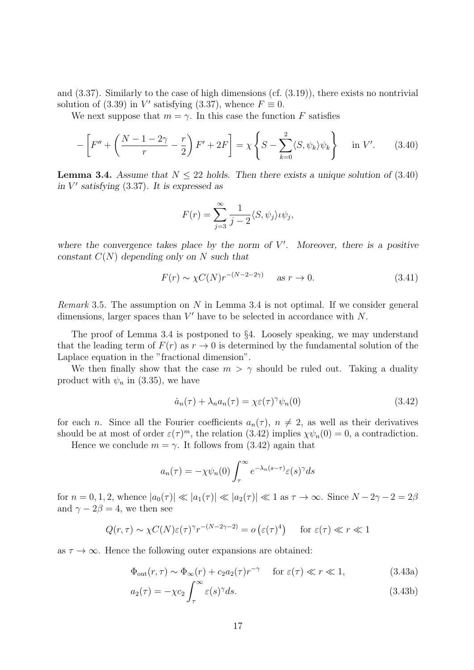and (3.37). Similarly to the case of high dimensions (cf. (3.19)), there exists no nontrivial solution of (3.39) in *V*' satisfying (3.37), whence  $F \equiv 0$ .

We next suppose that  $m = \gamma$ . In this case the function *F* satisfies

$$
-\left[F'' + \left(\frac{N-1-2\gamma}{r} - \frac{r}{2}\right)F' + 2F\right] = \chi \left\{S - \sum_{k=0}^{2} \langle S, \psi_k \rangle \psi_k\right\} \quad \text{in } V'. \tag{3.40}
$$

**Lemma 3.4.** *Assume that*  $N \leq 22$  *holds. Then there exists a unique solution of* (3.40) *in V ′ satisfying* (3.37)*. It is expressed as*

$$
F(r) = \sum_{j=3}^{\infty} \frac{1}{j-2} \langle S, \psi_j \rangle \psi_j,
$$

where the convergence takes place by the norm of  $V'$ . Moreover, there is a positive *constant C*(*N*) *depending only on N such that*

$$
F(r) \sim \chi C(N) r^{-(N-2-2\gamma)} \quad \text{as } r \to 0. \tag{3.41}
$$

*Remark* 3.5*.* The assumption on *N* in Lemma 3.4 is not optimal. If we consider general dimensions, larger spaces than *V ′* have to be selected in accordance with *N*.

The proof of Lemma 3.4 is postponed to *§*4. Loosely speaking, we may understand that the leading term of  $F(r)$  as  $r \to 0$  is determined by the fundamental solution of the Laplace equation in the "fractional dimension".

We then finally show that the case  $m > \gamma$  should be ruled out. Taking a duality product with  $\psi_n$  in (3.35), we have

$$
\dot{a}_n(\tau) + \lambda_n a_n(\tau) = \chi \varepsilon(\tau)^\gamma \psi_n(0) \tag{3.42}
$$

for each *n*. Since all the Fourier coefficients  $a_n(\tau)$ ,  $n \neq 2$ , as well as their derivatives should be at most of order  $\varepsilon(\tau)^m$ , the relation (3.42) implies  $\chi \psi_n(0) = 0$ , a contradiction.

Hence we conclude  $m = \gamma$ . It follows from (3.42) again that

$$
a_n(\tau) = -\chi \psi_n(0) \int_{\tau}^{\infty} e^{-\lambda_n(s-\tau)} \varepsilon(s)^\gamma ds
$$

for  $n = 0, 1, 2$ , whence  $|a_0(\tau)| \ll |a_1(\tau)| \ll |a_2(\tau)| \ll 1$  as  $\tau \to \infty$ . Since  $N - 2\gamma - 2 = 2\beta$ and  $\gamma - 2\beta = 4$ , we then see

$$
Q(r,\tau) \sim \chi C(N)\varepsilon(\tau)^{\gamma}r^{-(N-2\gamma-2)} = o\left(\varepsilon(\tau)^4\right) \quad \text{for } \varepsilon(\tau) \ll r \ll 1
$$

as  $\tau \to \infty$ . Hence the following outer expansions are obtained:

$$
\Phi_{\text{out}}(r,\tau) \sim \Phi_{\infty}(r) + c_2 a_2(\tau) r^{-\gamma} \quad \text{for } \varepsilon(\tau) \ll r \ll 1,
$$
\n(3.43a)

$$
a_2(\tau) = -\chi c_2 \int_{\tau}^{\infty} \varepsilon(s)^{\gamma} ds. \tag{3.43b}
$$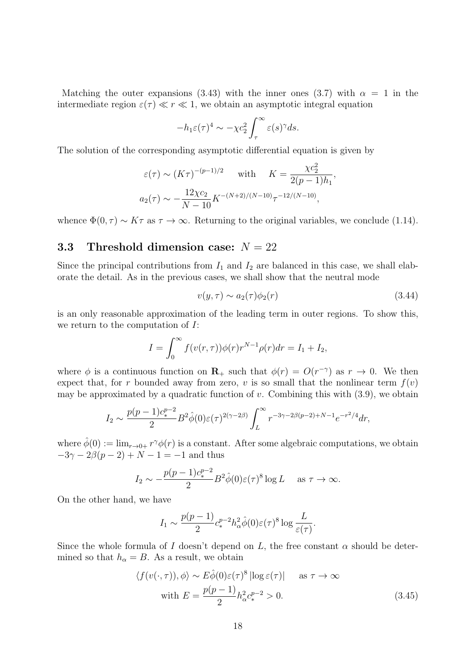Matching the outer expansions (3.43) with the inner ones (3.7) with  $\alpha = 1$  in the intermediate region  $\varepsilon(\tau) \ll r \ll 1$ , we obtain an asymptotic integral equation

$$
-h_1 \varepsilon(\tau)^4 \sim -\chi c_2^2 \int_{\tau}^{\infty} \varepsilon(s)^\gamma ds.
$$

The solution of the corresponding asymptotic differential equation is given by

$$
\varepsilon(\tau) \sim (K\tau)^{-(p-1)/2}
$$
 with  $K = \frac{\chi c_2^2}{2(p-1)h_1}$ ,  
 $a_2(\tau) \sim -\frac{12\chi c_2}{N-10} K^{-(N+2)/(N-10)} \tau^{-12/(N-10)}$ ,

whence  $\Phi(0, \tau) \sim K\tau$  as  $\tau \to \infty$ . Returning to the original variables, we conclude (1.14).

### **3.3 Threshold dimension case:** *N* = 22

Since the principal contributions from  $I_1$  and  $I_2$  are balanced in this case, we shall elaborate the detail. As in the previous cases, we shall show that the neutral mode

$$
v(y,\tau) \sim a_2(\tau)\phi_2(r) \tag{3.44}
$$

is an only reasonable approximation of the leading term in outer regions. To show this, we return to the computation of *I*:

$$
I = \int_0^\infty f(v(r,\tau))\phi(r)r^{N-1}\rho(r)dr = I_1 + I_2,
$$

where  $\phi$  is a continuous function on **R**<sub>+</sub> such that  $\phi(r) = O(r^{-\gamma})$  as  $r \to 0$ . We then expect that, for r bounded away from zero,  $v$  is so small that the nonlinear term  $f(v)$ may be approximated by a quadratic function of *v*. Combining this with (3.9), we obtain

$$
I_2 \sim \frac{p(p-1)c_*^{p-2}}{2} B^2 \hat{\phi}(0) \varepsilon(\tau)^{2(\gamma-2\beta)} \int_L^{\infty} r^{-3\gamma - 2\beta(p-2) + N - 1} e^{-r^2/4} dr,
$$

where  $\hat{\phi}(0) := \lim_{r \to 0+} r^{\gamma} \phi(r)$  is a constant. After some algebraic computations, we obtain  $-3\gamma - 2\beta(p-2) + N - 1 = -1$  and thus

$$
I_2 \sim -\frac{p(p-1)c_*^{p-2}}{2} B^2 \hat{\phi}(0)\varepsilon(\tau)^8 \log L
$$
 as  $\tau \to \infty$ .

On the other hand, we have

$$
I_1 \sim \frac{p(p-1)}{2} c_*^{p-2} h_\alpha^2 \hat{\phi}(0) \varepsilon(\tau)^8 \log \frac{L}{\varepsilon(\tau)}.
$$

Since the whole formula of *I* doesn't depend on *L*, the free constant  $\alpha$  should be determined so that  $h_{\alpha} = B$ . As a result, we obtain

$$
\langle f(v(\cdot,\tau)), \phi \rangle \sim E\hat{\phi}(0)\varepsilon(\tau)^8 |\log \varepsilon(\tau)| \quad \text{as } \tau \to \infty
$$
  
with  $E = \frac{p(p-1)}{2} h_\alpha^2 c_*^{p-2} > 0.$  (3.45)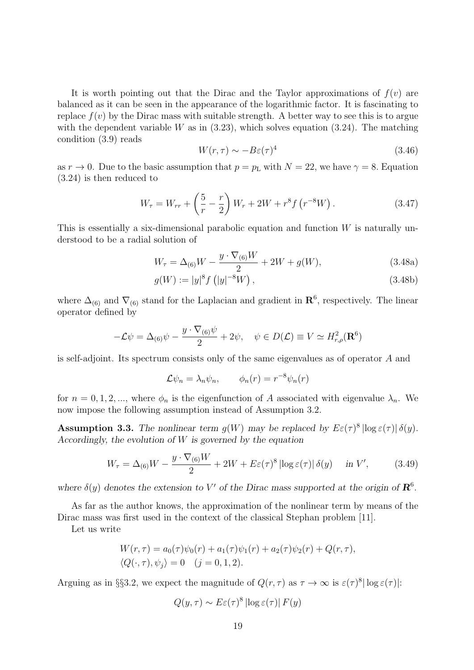It is worth pointing out that the Dirac and the Taylor approximations of  $f(v)$  are balanced as it can be seen in the appearance of the logarithmic factor. It is fascinating to replace  $f(v)$  by the Dirac mass with suitable strength. A better way to see this is to argue with the dependent variable  $W$  as in  $(3.23)$ , which solves equation  $(3.24)$ . The matching condition (3.9) reads

$$
W(r,\tau) \sim -B\varepsilon(\tau)^4\tag{3.46}
$$

as  $r \to 0$ . Due to the basic assumption that  $p = p<sub>L</sub>$  with  $N = 22$ , we have  $\gamma = 8$ . Equation (3.24) is then reduced to

$$
W_{\tau} = W_{rr} + \left(\frac{5}{r} - \frac{r}{2}\right)W_r + 2W + r^8 f\left(r^{-8}W\right). \tag{3.47}
$$

This is essentially a six-dimensional parabolic equation and function *W* is naturally understood to be a radial solution of

$$
W_{\tau} = \Delta_{(6)}W - \frac{y \cdot \nabla_{(6)}W}{2} + 2W + g(W), \qquad (3.48a)
$$

$$
g(W) := |y|^8 f (|y|^{-8} W), \qquad (3.48b)
$$

where  $\Delta_{(6)}$  and  $\nabla_{(6)}$  stand for the Laplacian and gradient in  $\mathbb{R}^6$ , respectively. The linear operator defined by

$$
-\mathcal{L}\psi = \Delta_{(6)}\psi - \frac{y \cdot \nabla_{(6)}\psi}{2} + 2\psi, \quad \psi \in D(\mathcal{L}) \equiv V \simeq H_{r,\rho}^2(\mathbf{R}^6)
$$

is self-adjoint. Its spectrum consists only of the same eigenvalues as of operator *A* and

$$
\mathcal{L}\psi_n = \lambda_n \psi_n, \qquad \phi_n(r) = r^{-8} \psi_n(r)
$$

for  $n = 0, 1, 2, \dots$ , where  $\phi_n$  is the eigenfunction of *A* associated with eigenvalue  $\lambda_n$ . We now impose the following assumption instead of Assumption 3.2.

**Assumption 3.3.** The nonlinear term  $g(W)$  may be replaced by  $E\varepsilon(\tau)^8 |\log \varepsilon(\tau)| \delta(y)$ . *Accordingly, the evolution of W is governed by the equation*

$$
W_{\tau} = \Delta_{(6)}W - \frac{y \cdot \nabla_{(6)}W}{2} + 2W + E\varepsilon(\tau)^{8} |\log \varepsilon(\tau)| \delta(y) \quad \text{in } V', \tag{3.49}
$$

*where*  $\delta(y)$  *denotes the extension to V'* of the Dirac mass supported at the origin of  $\mathbb{R}^6$ .

As far as the author knows, the approximation of the nonlinear term by means of the Dirac mass was first used in the context of the classical Stephan problem [11].

Let us write

$$
W(r,\tau) = a_0(\tau)\psi_0(r) + a_1(\tau)\psi_1(r) + a_2(\tau)\psi_2(r) + Q(r,\tau),
$$
  

$$
\langle Q(\cdot,\tau), \psi_j \rangle = 0 \quad (j = 0,1,2).
$$

Arguing as in §§3.2, we expect the magnitude of  $Q(r, \tau)$  as  $\tau \to \infty$  is  $\varepsilon(\tau)^8 |\log \varepsilon(\tau)|$ :

$$
Q(y,\tau) \sim E\varepsilon(\tau)^8 |\log \varepsilon(\tau)| F(y)
$$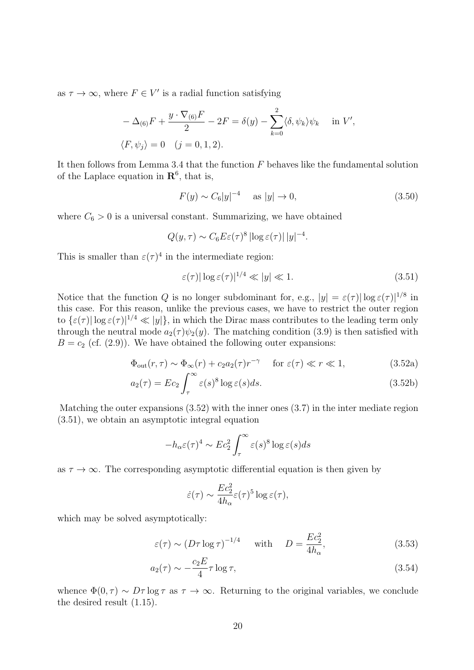as  $\tau \to \infty$ , where  $F \in V'$  is a radial function satisfying

$$
-\Delta_{(6)}F + \frac{y \cdot \nabla_{(6)}F}{2} - 2F = \delta(y) - \sum_{k=0}^{2} \langle \delta, \psi_k \rangle \psi_k \quad \text{in } V',
$$
  

$$
\langle F, \psi_j \rangle = 0 \quad (j = 0, 1, 2).
$$

It then follows from Lemma 3.4 that the function *F* behaves like the fundamental solution of the Laplace equation in  $\mathbb{R}^6$ , that is,

$$
F(y) \sim C_6 |y|^{-4} \quad \text{as } |y| \to 0,
$$
\n(3.50)

where  $C_6 > 0$  is a universal constant. Summarizing, we have obtained

$$
Q(y,\tau) \sim C_6 E \varepsilon(\tau)^8 |\log \varepsilon(\tau)| |y|^{-4}.
$$

This is smaller than  $\varepsilon(\tau)^4$  in the intermediate region:

$$
\varepsilon(\tau)|\log \varepsilon(\tau)|^{1/4} \ll |y| \ll 1. \tag{3.51}
$$

Notice that the function *Q* is no longer subdominant for, e.g.,  $|y| = \varepsilon(\tau) |\log \varepsilon(\tau)|^{1/8}$  in this case. For this reason, unlike the previous cases, we have to restrict the outer region to  $\{\varepsilon(\tau) | \log \varepsilon(\tau) |^{1/4} \ll |y|\}$ , in which the Dirac mass contributes to the leading term only through the neutral mode  $a_2(\tau)\psi_2(y)$ . The matching condition (3.9) is then satisfied with  $B = c_2$  (cf. (2.9)). We have obtained the following outer expansions:

$$
\Phi_{\text{out}}(r,\tau) \sim \Phi_{\infty}(r) + c_2 a_2(\tau) r^{-\gamma} \quad \text{for } \varepsilon(\tau) \ll r \ll 1,
$$
\n(3.52a)

$$
a_2(\tau) = Ec_2 \int_{\tau}^{\infty} \varepsilon(s)^8 \log \varepsilon(s) ds.
$$
 (3.52b)

Matching the outer expansions (3.52) with the inner ones (3.7) in the inter mediate region (3.51), we obtain an asymptotic integral equation

$$
-h_{\alpha}\varepsilon(\tau)^{4} \sim Ec_{2}^{2} \int_{\tau}^{\infty} \varepsilon(s)^{8} \log \varepsilon(s) ds
$$

as  $\tau \to \infty$ . The corresponding asymptotic differential equation is then given by

$$
\dot{\varepsilon}(\tau) \sim \frac{Ec_2^2}{4h_\alpha} \varepsilon(\tau)^5 \log \varepsilon(\tau),
$$

which may be solved asymptotically:

$$
\varepsilon(\tau) \sim (D\tau \log \tau)^{-1/4}
$$
 with  $D = \frac{Ec_2^2}{4h_\alpha}$ , (3.53)

$$
a_2(\tau) \sim -\frac{c_2 E}{4} \tau \log \tau,\tag{3.54}
$$

whence  $\Phi(0, \tau) \sim D\tau \log \tau$  as  $\tau \to \infty$ . Returning to the original variables, we conclude the desired result (1.15).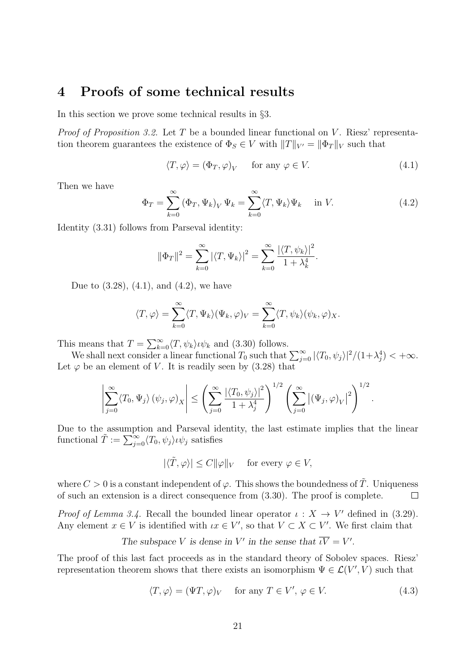# **4 Proofs of some technical results**

In this section we prove some technical results in *§*3.

*Proof of Proposition 3.2.* Let *T* be a bounded linear functional on *V*. Riesz' representation theorem guarantees the existence of  $\Phi_S \in V$  with  $||T||_{V'} = ||\Phi_T||_V$  such that

$$
\langle T, \varphi \rangle = (\Phi_T, \varphi)_V \quad \text{for any } \varphi \in V. \tag{4.1}
$$

Then we have

$$
\Phi_T = \sum_{k=0}^{\infty} (\Phi_T, \Psi_k)_V \Psi_k = \sum_{k=0}^{\infty} \langle T, \Psi_k \rangle \Psi_k \quad \text{in } V. \tag{4.2}
$$

Identity (3.31) follows from Parseval identity:

$$
\|\Phi_T\|^2 = \sum_{k=0}^{\infty} |\langle T, \Psi_k \rangle|^2 = \sum_{k=0}^{\infty} \frac{|\langle T, \psi_k \rangle|^2}{1 + \lambda_k^4}.
$$

Due to  $(3.28)$ ,  $(4.1)$ , and  $(4.2)$ , we have

$$
\langle T, \varphi \rangle = \sum_{k=0}^{\infty} \langle T, \Psi_k \rangle (\Psi_k, \varphi)_V = \sum_{k=0}^{\infty} \langle T, \psi_k \rangle (\psi_k, \varphi)_X.
$$

This means that  $T = \sum_{k=0}^{\infty} \langle T, \psi_k \rangle \psi_k$  and (3.30) follows.

We shall next consider a linear functional  $T_0$  such that  $\sum_{j=0}^{\infty} |\langle T_0, \psi_j \rangle|^2/(1+\lambda_j^4) < +\infty$ . Let  $\varphi$  be an element of *V*. It is readily seen by (3.28) that

$$
\left|\sum_{j=0}^{\infty}\langle T_0,\Psi_j\rangle(\psi_j,\varphi)_X\right|\leq \left(\sum_{j=0}^{\infty}\frac{|\langle T_0,\psi_j\rangle|^2}{1+\lambda_j^4}\right)^{1/2}\left(\sum_{j=0}^{\infty}\left|(\Psi_j,\varphi)_V\right|^2\right)^{1/2}.
$$

Due to the assumption and Parseval identity, the last estimate implies that the linear functional  $\tilde{T} := \sum_{j=0}^{\infty} \langle T_0, \psi_j \rangle \iota \psi_j$  satisfies

$$
|\langle \tilde{T}, \varphi \rangle| \le C ||\varphi||_V \quad \text{ for every } \varphi \in V,
$$

where  $C > 0$  is a constant independent of  $\varphi$ . This shows the boundedness of  $\tilde{T}$ . Uniqueness of such an extension is a direct consequence from (3.30). The proof is complete.  $\Box$ 

*Proof of Lemma 3.4.* Recall the bounded linear operator  $\iota : X \to V'$  defined in (3.29). Any element  $x \in V$  is identified with  $\iota x \in V'$ , so that  $V \subset X \subset V'$ . We first claim that

The subspace V is dense in V' in the sense that 
$$
\overline{\iota V} = V'
$$
.

The proof of this last fact proceeds as in the standard theory of Sobolev spaces. Riesz' representation theorem shows that there exists an isomorphism  $\Psi \in \mathcal{L}(V', V)$  such that

$$
\langle T, \varphi \rangle = (\Psi T, \varphi)_V \quad \text{for any } T \in V', \varphi \in V. \tag{4.3}
$$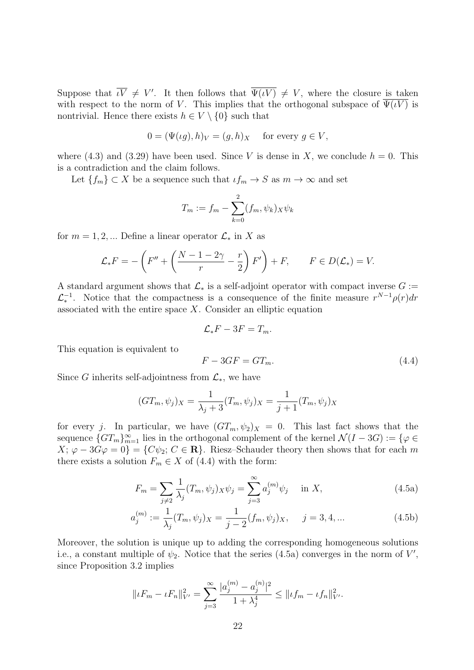Suppose that  $\iota V \neq V'$ . It then follows that  $\Psi(\iota V) \neq V$ , where the closure is taken with respect to the norm of *V*. This implies that the orthogonal subspace of  $\Psi(\iota V)$  is nontrivial. Hence there exists  $h \in V \setminus \{0\}$  such that

$$
0 = (\Psi(\iota g), h)_V = (g, h)_X \quad \text{ for every } g \in V,
$$

where  $(4.3)$  and  $(3.29)$  have been used. Since *V* is dense in *X*, we conclude  $h = 0$ . This is a contradiction and the claim follows.

Let  ${f_m} \subset X$  be a sequence such that  $\iota f_m \to S$  as  $m \to \infty$  and set

$$
T_m := f_m - \sum_{k=0}^2 (f_m, \psi_k)_{X} \psi_k
$$

for  $m = 1, 2, \dots$  Define a linear operator  $\mathcal{L}_*$  in X as

$$
\mathcal{L}_{*}F = -\left(F'' + \left(\frac{N-1-2\gamma}{r} - \frac{r}{2}\right)F'\right) + F, \qquad F \in D(\mathcal{L}_{*}) = V.
$$

A standard argument shows that  $\mathcal{L}_*$  is a self-adjoint operator with compact inverse  $G :=$  $\mathcal{L}_{*}^{-1}$ . Notice that the compactness is a consequence of the finite measure  $r^{N-1}\rho(r)dr$ *∗* associated with the entire space *X*. Consider an elliptic equation

$$
\mathcal{L}_{*}F-3F=T_{m}.
$$

This equation is equivalent to

$$
F - 3GF = GT_m. \tag{4.4}
$$

Since *G* inherits self-adjointness from  $\mathcal{L}_*$ , we have

$$
(GT_m, \psi_j)_X = \frac{1}{\lambda_j + 3} (T_m, \psi_j)_X = \frac{1}{j+1} (T_m, \psi_j)_X
$$

for every *j*. In particular, we have  $(GT_m, \psi_2)_X = 0$ . This last fact shows that the sequence  ${G}T_m$ ,  $\infty$  lies in the orthogonal complement of the kernel  $\mathcal{N}(I - 3G) := \{ \varphi \in$  $X; \varphi - 3G\varphi = 0$ } = { $C\psi_2; C \in \mathbb{R}$ }. Riesz–Schauder theory then shows that for each *m* there exists a solution  $F_m \in X$  of (4.4) with the form:

$$
F_m = \sum_{j \neq 2} \frac{1}{\lambda_j} (T_m, \psi_j)_X \psi_j = \sum_{j=3}^{\infty} a_j^{(m)} \psi_j \quad \text{in } X,
$$
\n(4.5a)

$$
a_j^{(m)} := \frac{1}{\lambda_j} (T_m, \psi_j)_X = \frac{1}{j-2} (f_m, \psi_j)_X, \quad j = 3, 4, \dots
$$
 (4.5b)

Moreover, the solution is unique up to adding the corresponding homogeneous solutions i.e., a constant multiple of  $\psi_2$ . Notice that the series (4.5a) converges in the norm of  $V'$ , since Proposition 3.2 implies

$$
||\iota F_m - \iota F_n||_{V'}^2 = \sum_{j=3}^{\infty} \frac{|a_j^{(m)} - a_j^{(n)}|^2}{1 + \lambda_j^4} \le ||\iota f_m - \iota f_n||_{V'}^2.
$$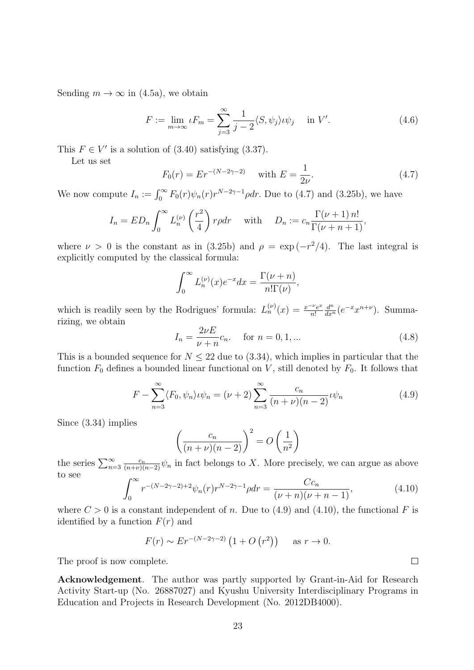Sending  $m \to \infty$  in (4.5a), we obtain

$$
F := \lim_{m \to \infty} \iota F_m = \sum_{j=3}^{\infty} \frac{1}{j-2} \langle S, \psi_j \rangle \iota \psi_j \quad \text{in } V'. \tag{4.6}
$$

This  $F \in V'$  is a solution of (3.40) satisfying (3.37).

Let us set

$$
F_0(r) = Er^{-(N-2\gamma-2)} \quad \text{with } E = \frac{1}{2\nu}.\tag{4.7}
$$

We now compute  $I_n := \int_0^\infty F_0(r)\psi_n(r)r^{N-2\gamma-1}\rho dr$ . Due to (4.7) and (3.25b), we have

$$
I_n = ED_n \int_0^\infty L_n^{(\nu)} \left(\frac{r^2}{4}\right) r \rho dr \quad \text{with} \quad D_n := c_n \frac{\Gamma(\nu+1) n!}{\Gamma(\nu+n+1)},
$$

where  $\nu > 0$  is the constant as in (3.25b) and  $\rho = \exp(-r^2/4)$ . The last integral is explicitly computed by the classical formula:

$$
\int_0^\infty L_n^{(\nu)}(x)e^{-x}dx = \frac{\Gamma(\nu+n)}{n!\Gamma(\nu)},
$$

which is readily seen by the Rodrigues' formula:  $L_n^{(\nu)}(x) = \frac{x^{-\nu}e^x}{n!}$ *n*!  $\frac{d^n}{dx^n}(e^{-x}x^{n+\nu})$ . Summarizing, we obtain

$$
I_n = \frac{2\nu E}{\nu + n} c_n.
$$
 for  $n = 0, 1, ...$  (4.8)

This is a bounded sequence for  $N \leq 22$  due to (3.34), which implies in particular that the function  $F_0$  defines a bounded linear functional on *V*, still denoted by  $F_0$ . It follows that

$$
F - \sum_{n=3}^{\infty} \langle F_0, \psi_n \rangle \psi_n = (\nu + 2) \sum_{n=3}^{\infty} \frac{c_n}{(n + \nu)(n - 2)} \psi_n
$$
 (4.9)

Since (3.34) implies

$$
\left(\frac{c_n}{(n+\nu)(n-2)}\right)^2 = O\left(\frac{1}{n^2}\right)
$$

the series  $\sum_{n=3}^{\infty} \frac{c_n}{(n+\nu)(n-2)} \psi_n$  in fact belongs to *X*. More precisely, we can argue as above to see

$$
\int_0^\infty r^{-(N-2\gamma-2)+2} \psi_n(r) r^{N-2\gamma-1} \rho dr = \frac{Cc_n}{(\nu+n)(\nu+n-1)},\tag{4.10}
$$

where  $C > 0$  is a constant independent of *n*. Due to (4.9) and (4.10), the functional *F* is identified by a function  $F(r)$  and

$$
F(r) \sim Er^{-(N-2\gamma-2)} (1 + O (r^2))
$$
 as  $r \to 0$ .

The proof is now complete.

**Acknowledgement**. The author was partly supported by Grant-in-Aid for Research Activity Start-up (No. 26887027) and Kyushu University Interdisciplinary Programs in Education and Projects in Research Development (No. 2012DB4000).

 $\Box$